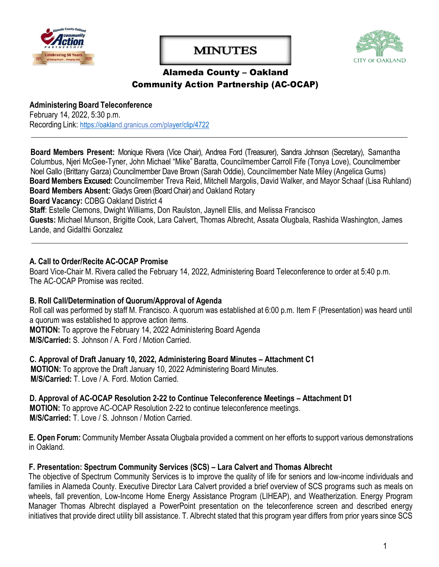

# **MINUTES**



### Alameda County – Oakland Community Action Partnership (AC-OCAP)

#### **Administering Board Teleconference** February 14, 2022, 5:30 p.m. Recording Link: <https://oakland.granicus.com/player/clip/4722>

**Board Members Present:** Monique Rivera (Vice Chair), Andrea Ford (Treasurer), Sandra Johnson (Secretary), Samantha Columbus, Njeri McGee-Tyner, John Michael "Mike" Baratta, Councilmember Carroll Fife (Tonya Love), Councilmember Noel Gallo (Brittany Garza) Councilmember Dave Brown (Sarah Oddie), Councilmember Nate Miley (Angelica Gums) **Board Members Excused:** Councilmember Treva Reid, Mitchell Margolis, David Walker, and Mayor Schaaf (Lisa Ruhland) **Board Members Absent:** Gladys Green (Board Chair) and Oakland Rotary

**Board Vacancy:** CDBG Oakland District 4

**Staff**: Estelle Clemons, Dwight Williams, Don Raulston, Jaynell Ellis, and Melissa Francisco

**Guests:** Michael Munson, Brigitte Cook, Lara Calvert, Thomas Albrecht, Assata Olugbala, Rashida Washington, James Lande, and Gidalthi Gonzalez

#### **A. Call to Order/Recite AC-OCAP Promise**

Board Vice-Chair M. Rivera called the February 14, 2022, Administering Board Teleconference to order at 5:40 p.m. The AC-OCAP Promise was recited.

#### **B. Roll Call/Determination of Quorum/Approval of Agenda**

Roll call was performed by staff M. Francisco. A quorum was established at 6:00 p.m. Item F (Presentation) was heard until a quorum was established to approve action items. **MOTION:** To approve the February 14, 2022 Administering Board Agenda **M/S/Carried:** S. Johnson / A. Ford / Motion Carried.

**C. Approval of Draft January 10, 2022, Administering Board Minutes – Attachment C1 MOTION:** To approve the Draft January 10, 2022 Administering Board Minutes. **M/S/Carried:** T. Love / A. Ford. Motion Carried.

**D. Approval of AC-OCAP Resolution 2-22 to Continue Teleconference Meetings – Attachment D1 MOTION:** To approve AC-OCAP Resolution 2-22 to continue teleconference meetings. **M/S/Carried:** T. Love / S. Johnson / Motion Carried.

**E. Open Forum:** Community Member Assata Olugbala provided a comment on her efforts to support various demonstrations in Oakland.

#### **F. Presentation: Spectrum Community Services (SCS) – Lara Calvert and Thomas Albrecht**

The objective of Spectrum Community Services is to improve the quality of life for seniors and low-income individuals and families in Alameda County. Executive Director Lara Calvert provided a brief overview of SCS programs such as meals on wheels, fall prevention, Low-Income Home Energy Assistance Program (LIHEAP), and Weatherization. Energy Program Manager Thomas Albrecht displayed a PowerPoint presentation on the teleconference screen and described energy initiatives that provide direct utility bill assistance. T. Albrecht stated that this program year differs from prior years since SCS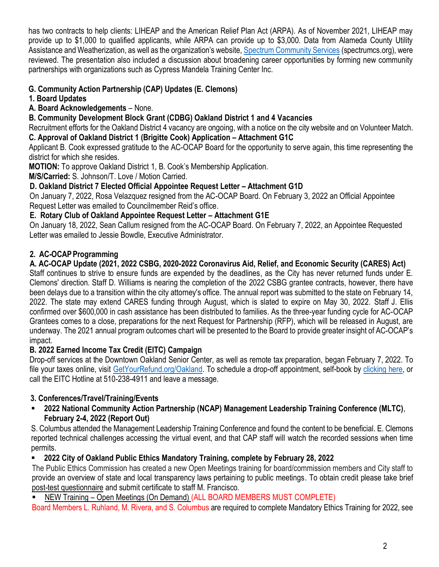has two contracts to help clients: LIHEAP and the American Relief Plan Act (ARPA). As of November 2021, LIHEAP may provide up to \$1,000 to qualified applicants, while ARPA can provide up to \$3,000. Data from Alameda County Utility Assistance and Weatherization, as well as the organization's website, [Spectrum Community Services](https://www.spectrumcs.org/) (spectrumcs.org), were reviewed. The presentation also included a discussion about broadening career opportunities by forming new community partnerships with organizations such as Cypress Mandela Training Center Inc.

### **G. Community Action Partnership (CAP) Updates (E. Clemons)**

- **1. Board Updates**
- **A. Board Acknowledgements** None.

**B. Community [Development](https://www.oaklandca.gov/services/join-the-alameda-county-oakland-community-action-partnership-board) Block Grant (CDBG) Oakland District 1 and 4 Vacancies**

Recruitment efforts for the Oakland District 4 vacancy are ongoing, with a notice on the city website and on Volunteer Match.

**C. Approval of Oakland District 1 (Brigitte Cook) Application – Attachment G1C**

Applicant B. Cook expressed gratitude to the AC-OCAP Board for the opportunity to serve again, this time representing the district for which she resides.

**MOTION:** To approve Oakland District 1, B. Cook's Membership Application.

**M/S/Carried:** S. Johnson/T. Love / Motion Carried.

### **D. Oakland District 7 Elected Official Appointee Request Letter – Attachment G1D**

On January 7, 2022, Rosa Velazquez resigned from the AC-OCAP Board. On February 3, 2022 an Official Appointee Request Letter was emailed to Councilmember Reid's office.

### **E. Rotary Club of Oakland Appointee Request Letter – Attachment G1E**

On January 18, 2022, Sean Callum resigned from the AC-OCAP Board. On February 7, 2022, an Appointee Requested Letter was emailed to Jessie Bowdle, Executive Administrator.

### 2. AC-OCAP Programming

### **A. AC-OCAP Update (2021, 2022 CSBG, 2020-2022 Coronavirus Aid, Relief, and Economic Security (CARES) Act)**

Staff continues to strive to ensure funds are expended by the deadlines, as the City has never returned funds under E. Clemons' direction. Staff D. Williams is nearing the completion of the 2022 CSBG grantee contracts, however, there have been delays due to a transition within the city attorney's office. The annual report was submitted to the state on February 14, 2022. The state may extend CARES funding through August, which is slated to expire on May 30, 2022. Staff J. Ellis confirmed over \$600,000 in cash assistance has been distributed to families. As the three-year funding cycle for AC-OCAP Grantees comes to a close, preparations for the next Request for Partnership (RFP), which will be released in August, are underway. The 2021 annual program outcomes chart will be presented to the Board to provide greater insight of AC-OCAP's impact.

### **B. 2022 Earned Income Tax Credit (EITC) Campaign**

Drop-off services at the Downtown Oakland Senior Center, as well as remote tax preparation, began February 7, 2022. To file your taxes online, visit [GetYourRefund.org/Oakland.](https://getyourrefund.org/Oakland) To schedule a drop-off appointment, self-book by [clicking here,](https://outlook.office365.com/owa/calendar/CityofOakland@oaklandca.onmicrosoft.com/bookings/) or call the EITC Hotline at 510-238-4911 and leave a message.

### **3. Conferences/Travel/Training/Events**

▪ **2022 National Community Action Partnership (NCAP) Management Leadership Training Conference (MLTC)**, **February 2-4, 2022 (Report Out)**

S. Columbus attended the Management Leadership Training Conference and found the content to be beneficial. E. Clemons reported technical challenges accessing the virtual event, and that CAP staff will watch the recorded sessions when time permits.

### ▪ **2022 City of Oakland Public Ethics Mandatory Training, complete by February 28, 2022**

The Public Ethics Commission has created a new Open Meetings training for board/commission members and City staff to provide an overview of state and local transparency laws pertaining to public meetings. To obtain credit please take brief [post-test questionnaire](https://docs.google.com/forms/d/e/1FAIpQLSdeh8CexUteuIn6DAVJDnve4lUcxyeX6-HaNkL-Rdm8iTYvMg/viewform?usp=sf_link) and submit certificate to staff M. Francisco.

NEW Training – Open Meetings (On Demand) [\(ALL BOARD MEMBERS MUST COMPLETE\)](https://us02web.zoom.us/rec/share/h0By1L7s63lWea6wZpNZrxqpATarNftUDj2sKBFTAbSwIQTFQPM-80Xq01i7IABD.gnMBqdM0WBEEMjYw)

Board Members L. Ruhland, M. Rivera, and S. Columbus are required to complete Mandatory Ethics Training for 2022, see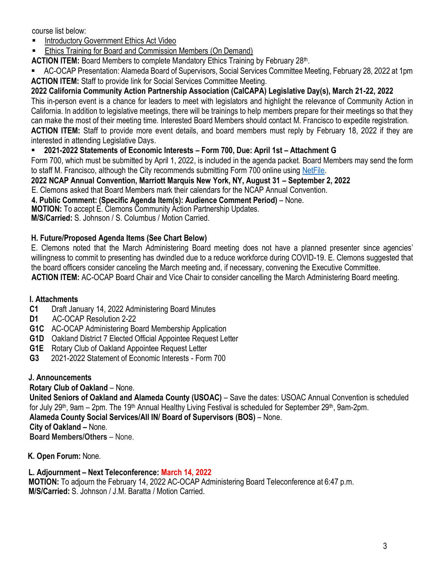course list below:

- **[Introductory Government Ethics Act Video](https://www.youtube.com/watch?v=0ipbGlRVeXM)**
- [Ethics Training for Board and Commission Members \(On Demand\)](https://us02web.zoom.us/rec/share/lgtyT_gYEXhDUouc1EI9G5mvkrgJiE7Pi46iu18Kp21oACjPJP_WCJqi79-I08Pp.96XbLwVTWvjT_5VW?startTime=1614369907000)

ACTION ITEM: Board Members to complete Mandatory Ethics Training by February 28<sup>th</sup>.

AC-OCAP Presentation: Alameda Board of Supervisors, Social Services Committee Meeting, February 28, 2022 at 1pm **ACTION ITEM:** Staff to provide link for Social Services Committee Meeting.

### **2022 California Community Action Partnership Association (CalCAPA) Legislative Day(s), March 21-22, 2022**

This in-person event is a chance for leaders to meet with legislators and highlight the relevance of Community Action in California. In addition to legislative meetings, there will be trainings to help members prepare for their meetings so that they can make the most of their meeting time. Interested Board Members should contact M. Francisco to expedite registration. **ACTION ITEM:** Staff to provide more event details, and board members must reply by February 18, 2022 if they are

interested in attending Legislative Days.

#### ▪ **2021-2022 Statements of Economic Interests – Form 700, Due: April 1st – Attachment G**

Form 700, which must be submitted by April 1, 2022, is included in the agenda packet. Board Members may send the form to staff M. Francisco, although the City recommends submitting Form 700 online using [NetFile.](https://netfile.com/Filer/Authentication/LogIn?ReturnUrl=%2ffiler)

#### **2022 NCAP Annual Convention, Marriott Marquis New York, NY, August 31 – September 2, 2022**

E. Clemons asked that Board Members mark their calendars for the NCAP Annual Convention.

**4. Public Comment: (Specific Agenda Item(s): Audience Comment Period)** – None.

 **MOTION:** To accept E. Clemons Community Action Partnership Updates.

**M/S/Carried:** S. Johnson / S. Columbus / Motion Carried.

#### **H. Future/Proposed Agenda Items (See Chart Below)**

E. Clemons noted that the March Administering Board meeting does not have a planned presenter since agencies' willingness to commit to presenting has dwindled due to a reduce workforce during COVID-19. E. Clemons suggested that the board officers consider canceling the March meeting and, if necessary, convening the Executive Committee.

**ACTION ITEM:** AC-OCAP Board Chair and Vice Chair to consider cancelling the March Administering Board meeting.

#### **I. Attachments**

- **C1** Draft January 14, 2022 Administering Board Minutes
- **D1** AC-OCAP Resolution 2-22
- **G1C** AC-OCAP Administering Board Membership Application
- **G1D** Oakland District 7 Elected Official Appointee Request Letter
- **G1E** Rotary Club of Oakland Appointee Request Letter
- **G3** 2021-2022 Statement of Economic Interests Form 700

#### **J. Announcements**

**Rotary Club of Oakland** – None.

**United Seniors of Oakland and Alameda County (USOAC)** – Save the dates: USOAC Annual Convention is scheduled for July 29<sup>th</sup>, 9am – 2pm. The 19<sup>th</sup> Annual Healthy Living Festival is scheduled for September 29<sup>th</sup>, 9am-2pm.

**Alameda County Social Services/All IN/ Board of Supervisors (BOS)** – None.

**City of Oakland –** None.

**Board Members/Others** – None.

**K. Open Forum:** None.

#### **L. Adjournment – Next Teleconference: March 14, 2022**

**MOTION:** To adjourn the February 14, 2022 AC-OCAP Administering Board Teleconference at 6:47 p.m. **M/S/Carried:** S. Johnson / J.M. Baratta / Motion Carried.